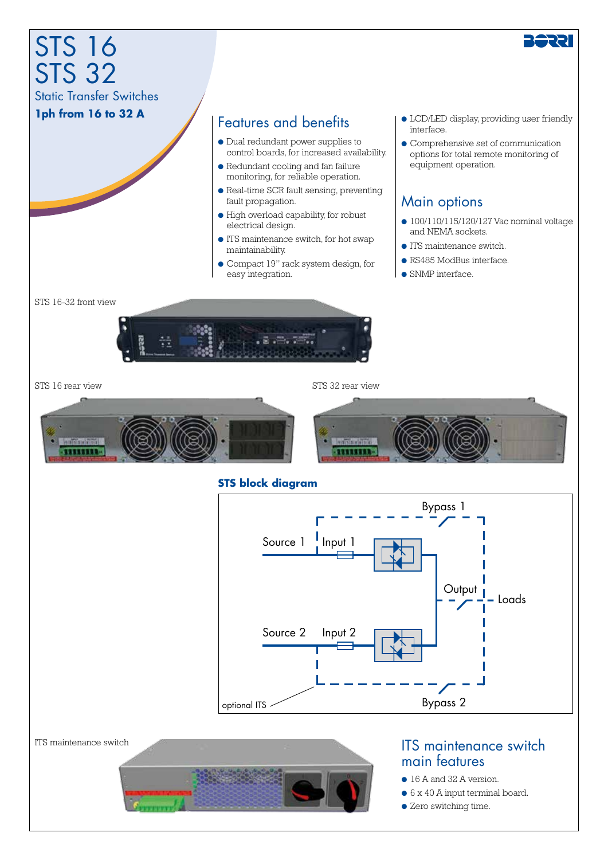

● Zero switching time.